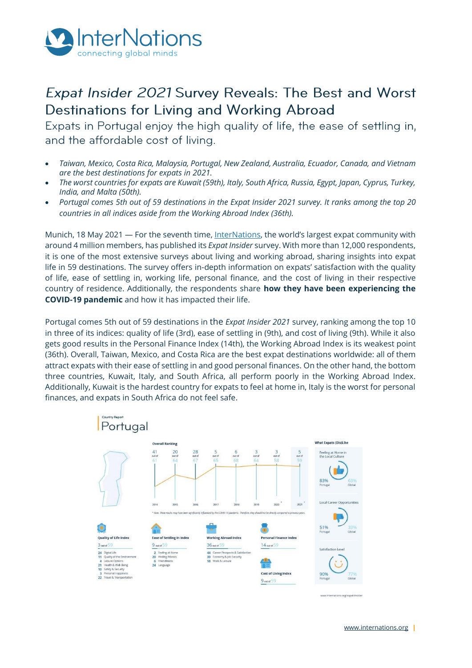

# Expat Insider 2021 Survey Reveals: The Best and Worst Destinations for Living and Working Abroad

Expats in Portugal enjoy the high quality of life, the ease of settling in, and the affordable cost of living.

- *Taiwan, Mexico, Costa Rica, Malaysia, Portugal, New Zealand, Australia, Ecuador, Canada, and Vietnam are the best destinations for expats in 2021.*
- *The worst countries for expats are Kuwait (59th), Italy, South Africa, Russia, Egypt, Japan, Cyprus, Turkey, India, and Malta (50th).*
- *Portugal comes 5th out of 59 destinations in the Expat Insider 2021 survey. It ranks among the top 20 countries in all indices aside from the Working Abroad Index (36th).*

Munich, 18 May 2021 — For the seventh time[, InterNations](http://www.internations.org/), the world's largest expat community with around 4 million members, has published its *Expat Insider* survey. With more than 12,000 respondents, it is one of the most extensive surveys about living and working abroad, sharing insights into expat life in 59 destinations. The survey offers in-depth information on expats' satisfaction with the quality of life, ease of settling in, working life, personal finance, and the cost of living in their respective country of residence. Additionally, the respondents share **how they have been experiencing the COVID-19 pandemic** and how it has impacted their life.

Portugal comes 5th out of 59 destinations in the *Expat Insider 2021* survey, ranking among the top 10 in three of its indices: quality of life (3rd), ease of settling in (9th), and cost of living (9th). While it also gets good results in the Personal Finance Index (14th), the Working Abroad Index is its weakest point (36th). Overall, Taiwan, Mexico, and Costa Rica are the best expat destinations worldwide: all of them attract expats with their ease of settling in and good personal finances. On the other hand, the bottom three countries, Kuwait, Italy, and South Africa, all perform poorly in the Working Abroad Index. Additionally, Kuwait is the hardest country for expats to feel at home in, Italy is the worst for personal finances, and expats in South Africa do not feel safe.

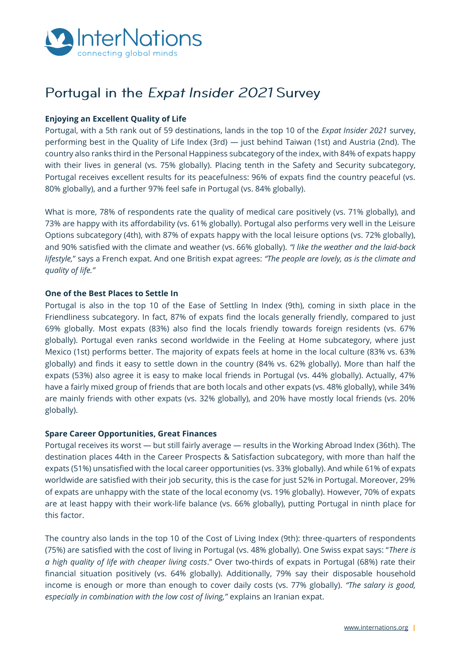

# Portugal in the Expat Insider 2021 Survey

## **Enjoying an Excellent Quality of Life**

Portugal, with a 5th rank out of 59 destinations, lands in the top 10 of the *Expat Insider 2021* survey, performing best in the Quality of Life Index (3rd) — just behind Taiwan (1st) and Austria (2nd). The country also ranks third in the Personal Happiness subcategory of the index, with 84% of expats happy with their lives in general (vs. 75% globally). Placing tenth in the Safety and Security subcategory, Portugal receives excellent results for its peacefulness: 96% of expats find the country peaceful (vs. 80% globally), and a further 97% feel safe in Portugal (vs. 84% globally).

What is more, 78% of respondents rate the quality of medical care positively (vs. 71% globally), and 73% are happy with its affordability (vs. 61% globally). Portugal also performs very well in the Leisure Options subcategory (4th), with 87% of expats happy with the local leisure options (vs. 72% globally), and 90% satisfied with the climate and weather (vs. 66% globally). *"I like the weather and the laid-back lifestyle,*" says a French expat. And one British expat agrees: *"The people are lovely, as is the climate and quality of life."*

### **One of the Best Places to Settle In**

Portugal is also in the top 10 of the Ease of Settling In Index (9th), coming in sixth place in the Friendliness subcategory. In fact, 87% of expats find the locals generally friendly, compared to just 69% globally. Most expats (83%) also find the locals friendly towards foreign residents (vs. 67% globally). Portugal even ranks second worldwide in the Feeling at Home subcategory, where just Mexico (1st) performs better. The majority of expats feels at home in the local culture (83% vs. 63% globally) and finds it easy to settle down in the country (84% vs. 62% globally). More than half the expats (53%) also agree it is easy to make local friends in Portugal (vs. 44% globally). Actually, 47% have a fairly mixed group of friends that are both locals and other expats (vs. 48% globally), while 34% are mainly friends with other expats (vs. 32% globally), and 20% have mostly local friends (vs. 20% globally).

### **Spare Career Opportunities, Great Finances**

Portugal receives its worst — but still fairly average — results in the Working Abroad Index (36th). The destination places 44th in the Career Prospects & Satisfaction subcategory, with more than half the expats (51%) unsatisfied with the local career opportunities (vs. 33% globally). And while 61% of expats worldwide are satisfied with their job security, this is the case for just 52% in Portugal. Moreover, 29% of expats are unhappy with the state of the local economy (vs. 19% globally). However, 70% of expats are at least happy with their work-life balance (vs. 66% globally), putting Portugal in ninth place for this factor.

The country also lands in the top 10 of the Cost of Living Index (9th): three-quarters of respondents (75%) are satisfied with the cost of living in Portugal (vs. 48% globally). One Swiss expat says: "*There is a high quality of life with cheaper living costs*." Over two-thirds of expats in Portugal (68%) rate their financial situation positively (vs. 64% globally). Additionally, 79% say their disposable household income is enough or more than enough to cover daily costs (vs. 77% globally). *"The salary is good, especially in combination with the low cost of living,"* explains an Iranian expat.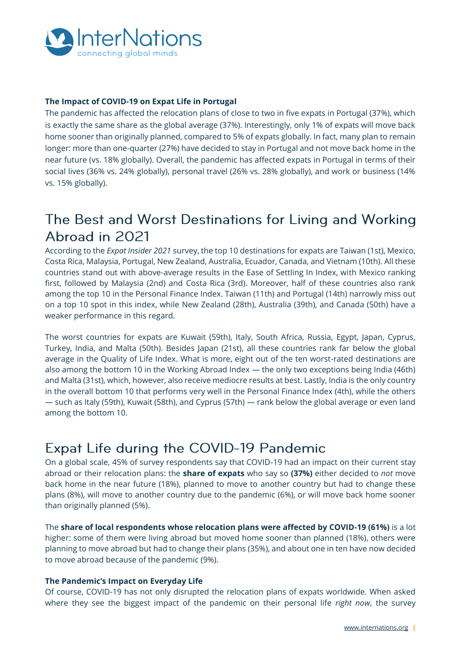

## **The Impact of COVID-19 on Expat Life in Portugal**

The pandemic has affected the relocation plans of close to two in five expats in Portugal (37%), which is exactly the same share as the global average (37%). Interestingly, only 1% of expats will move back home sooner than originally planned, compared to 5% of expats globally. In fact, many plan to remain longer: more than one-quarter (27%) have decided to stay in Portugal and not move back home in the near future (vs. 18% globally). Overall, the pandemic has affected expats in Portugal in terms of their social lives (36% vs. 24% globally), personal travel (26% vs. 28% globally), and work or business (14% vs. 15% globally).

# The Best and Worst Destinations for Living and Working Abroad in 2021

According to the *Expat Insider 2021* survey, the top 10 destinations for expats are Taiwan (1st), Mexico, Costa Rica, Malaysia, Portugal, New Zealand, Australia, Ecuador, Canada, and Vietnam (10th). All these countries stand out with above-average results in the Ease of Settling In Index, with Mexico ranking first, followed by Malaysia (2nd) and Costa Rica (3rd). Moreover, half of these countries also rank among the top 10 in the Personal Finance Index. Taiwan (11th) and Portugal (14th) narrowly miss out on a top 10 spot in this index, while New Zealand (28th), Australia (39th), and Canada (50th) have a weaker performance in this regard.

The worst countries for expats are Kuwait (59th), Italy, South Africa, Russia, Egypt, Japan, Cyprus, Turkey, India, and Malta (50th). Besides Japan (21st), all these countries rank far below the global average in the Quality of Life Index. What is more, eight out of the ten worst-rated destinations are also among the bottom 10 in the Working Abroad Index — the only two exceptions being India (46th) and Malta (31st), which, however, also receive mediocre results at best. Lastly, India is the only country in the overall bottom 10 that performs very well in the Personal Finance Index (4th), while the others — such as Italy (59th), Kuwait (58th), and Cyprus (57th) — rank below the global average or even land among the bottom 10.

# Expat Life during the COVID-19 Pandemic

On a global scale, 45% of survey respondents say that COVID-19 had an impact on their current stay abroad or their relocation plans: the **share of expats** who say so **(37%)** either decided to *not* move back home in the near future (18%), planned to move to another country but had to change these plans (8%), will move to another country due to the pandemic (6%), or will move back home sooner than originally planned (5%).

The **share of local respondents whose relocation plans were affected by COVID-19 (61%)** is a lot higher: some of them were living abroad but moved home sooner than planned (18%), others were planning to move abroad but had to change their plans (35%), and about one in ten have now decided to move abroad because of the pandemic (9%).

### **The Pandemic's Impact on Everyday Life**

Of course, COVID-19 has not only disrupted the relocation plans of expats worldwide. When asked where they see the biggest impact of the pandemic on their personal life *right now*, the survey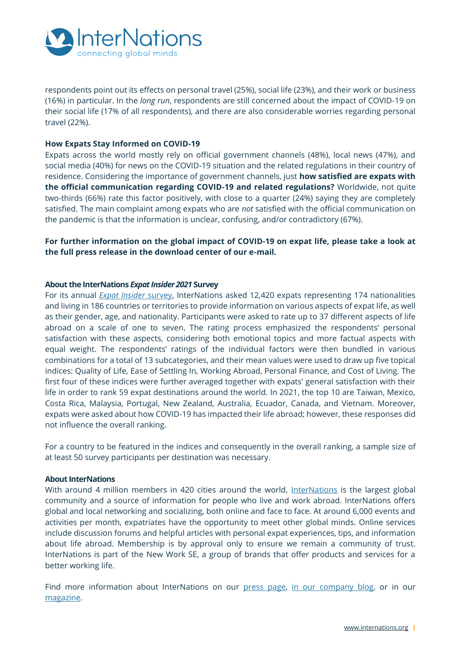

respondents point out its effects on personal travel (25%), social life (23%), and their work or business (16%) in particular. In the *long run*, respondents are still concerned about the impact of COVID-19 on their social life (17% of all respondents), and there are also considerable worries regarding personal travel (22%).

### **How Expats Stay Informed on COVID-19**

Expats across the world mostly rely on official government channels (48%), local news (47%), and social media (40%) for news on the COVID-19 situation and the related regulations in their country of residence. Considering the importance of government channels, just **how satisfied are expats with the official communication regarding COVID-19 and related regulations?** Worldwide, not quite two-thirds (66%) rate this factor positively, with close to a quarter (24%) saying they are completely satisfied. The main complaint among expats who are *not* satisfied with the official communication on the pandemic is that the information is unclear, confusing, and/or contradictory (67%).

## **For further information on the global impact of COVID-19 on expat life, please take a look at the full press release in the download center of our e-mail.**

### **About the InterNations** *[Expat Insider 2021](https://www.internations.org/expat-insider)* **Survey**

For its annual *[Expat Insider](http://www.internations.org/expat-insider)* survey, InterNations asked 12,420 expats representing 174 nationalities and living in 186 countries or territories to provide information on various aspects of expat life, as well as their gender, age, and nationality. Participants were asked to rate up to 37 different aspects of life abroad on a scale of one to seven. The rating process emphasized the respondents' personal satisfaction with these aspects, considering both emotional topics and more factual aspects with equal weight. The respondents' ratings of the individual factors were then bundled in various combinations for a total of 13 subcategories, and their mean values were used to draw up five topical indices: Quality of Life, Ease of Settling In, Working Abroad, Personal Finance, and Cost of Living. The first four of these indices were further averaged together with expats' general satisfaction with their life in order to rank 59 expat destinations around the world. In 2021, the top 10 are Taiwan, Mexico, Costa Rica, Malaysia, Portugal, New Zealand, Australia, Ecuador, Canada, and Vietnam. Moreover, expats were asked about how COVID-19 has impacted their life abroad; however, these responses did not influence the overall ranking.

For a country to be featured in the indices and consequently in the overall ranking, a sample size of at least 50 survey participants per destination was necessary.

### **About InterNations**

With around 4 million members in 420 cities around the world, [InterNations](https://internations.org/) is the largest global community and a source of information for people who live and work abroad. InterNations offers global and local networking and socializing, both online and face to face. At around 6,000 events and activities per month, expatriates have the opportunity to meet other global minds. Online services include discussion forums and helpful articles with personal expat experiences, tips, and information about life abroad. Membership is by approval only to ensure we remain a community of trust. InterNations is part of the New Work SE, a group of brands that offer products and services for a better working life.

Find more information about InterNations on our [press page,](https://www.internations.org/press) [in our company blog,](https://blog.internations.org/) or in our [magazine.](https://www.internations.org/magazine)